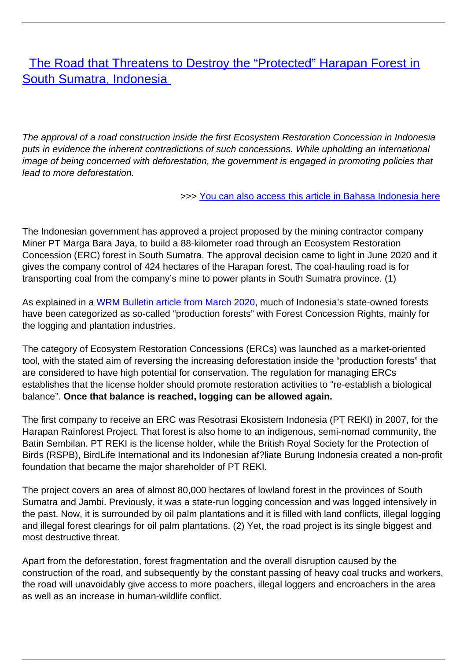[The Road that Threatens to Destroy the "Protected" Harapan Forest in](/bulletin-articles/the-road-that-threatens-to-destroy-the-protected-harapan-forest-in-south-sumatra-indonesia) [South Sumatra, Indonesia](/bulletin-articles/the-road-that-threatens-to-destroy-the-protected-harapan-forest-in-south-sumatra-indonesia)

The approval of a road construction inside the first Ecosystem Restoration Concession in Indonesia puts in evidence the inherent contradictions of such concessions. While upholding an international image of being concerned with deforestation, the government is engaged in promoting policies that lead to more deforestation.

>>> [You can also access this article in Bahasa Indonesia here](https://wrm.org.uy/articles-from-the-wrm-bulletin/section1/bahasa-indonesia-jalan-yang-mengancam-kerusakan-hutan-harapan-yangdilindungi-di-sumatera-selatan-indonesia/)

The Indonesian government has approved a project proposed by the mining contractor company Miner PT Marga Bara Jaya, to build a 88-kilometer road through an Ecosystem Restoration Concession (ERC) forest in South Sumatra. The approval decision came to light in June 2020 and it gives the company control of 424 hectares of the Harapan forest. The coal-hauling road is for transporting coal from the company's mine to power plants in South Sumatra province. (1)

As explained in a [WRM Bulletin article from March 2020](https://wrm.us9.list-manage.com/track/click?u=f91b651f7fecdf835b57dc11d&id=8d193ee374&e=08ad7e6520), much of Indonesia's state-owned forests have been categorized as so-called "production forests" with Forest Concession Rights, mainly for the logging and plantation industries.

The category of Ecosystem Restoration Concessions (ERCs) was launched as a market-oriented tool, with the stated aim of reversing the increasing deforestation inside the "production forests" that are considered to have high potential for conservation. The regulation for managing ERCs establishes that the license holder should promote restoration activities to "re-establish a biological balance". **Once that balance is reached, logging can be allowed again.**

The first company to receive an ERC was Resotrasi Ekosistem Indonesia (PT REKI) in 2007, for the Harapan Rainforest Project. That forest is also home to an indigenous, semi-nomad community, the Batin Sembilan. PT REKI is the license holder, while the British Royal Society for the Protection of Birds (RSPB), BirdLife International and its Indonesian af?liate Burung Indonesia created a non-profit foundation that became the major shareholder of PT REKI.

The project covers an area of almost 80,000 hectares of lowland forest in the provinces of South Sumatra and Jambi. Previously, it was a state-run logging concession and was logged intensively in the past. Now, it is surrounded by oil palm plantations and it is filled with land conflicts, illegal logging and illegal forest clearings for oil palm plantations. (2) Yet, the road project is its single biggest and most destructive threat.

Apart from the deforestation, forest fragmentation and the overall disruption caused by the construction of the road, and subsequently by the constant passing of heavy coal trucks and workers, the road will unavoidably give access to more poachers, illegal loggers and encroachers in the area as well as an increase in human-wildlife conflict.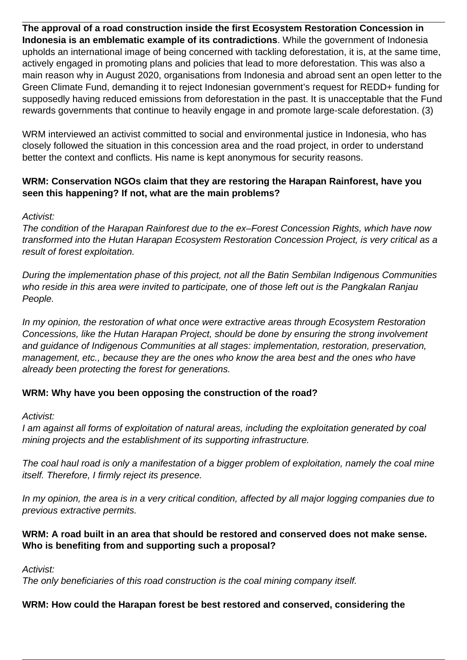**The approval of a road construction inside the first Ecosystem Restoration Concession in Indonesia is an emblematic example of its contradictions**. While the government of Indonesia upholds an international image of being concerned with tackling deforestation, it is, at the same time, actively engaged in promoting plans and policies that lead to more deforestation. This was also a main reason why in August 2020, organisations from Indonesia and abroad sent an open letter to the Green Climate Fund, demanding it to reject Indonesian government's request for REDD+ funding for supposedly having reduced emissions from deforestation in the past. It is unacceptable that the Fund rewards governments that continue to heavily engage in and promote large-scale deforestation. (3)

WRM interviewed an activist committed to social and environmental justice in Indonesia, who has closely followed the situation in this concession area and the road project, in order to understand better the context and conflicts. His name is kept anonymous for security reasons.

## **WRM: Conservation NGOs claim that they are restoring the Harapan Rainforest, have you seen this happening? If not, what are the main problems?**

### Activist:

The condition of the Harapan Rainforest due to the ex–Forest Concession Rights, which have now transformed into the Hutan Harapan Ecosystem Restoration Concession Project, is very critical as a result of forest exploitation.

During the implementation phase of this project, not all the Batin Sembilan Indigenous Communities who reside in this area were invited to participate, one of those left out is the Pangkalan Ranjau People.

In my opinion, the restoration of what once were extractive areas through Ecosystem Restoration Concessions, like the Hutan Harapan Project, should be done by ensuring the strong involvement and guidance of Indigenous Communities at all stages: implementation, restoration, preservation, management, etc., because they are the ones who know the area best and the ones who have already been protecting the forest for generations.

### **WRM: Why have you been opposing the construction of the road?**

Activist:

I am against all forms of exploitation of natural areas, including the exploitation generated by coal mining projects and the establishment of its supporting infrastructure.

The coal haul road is only a manifestation of a bigger problem of exploitation, namely the coal mine itself. Therefore, I firmly reject its presence.

In my opinion, the area is in a very critical condition, affected by all major logging companies due to previous extractive permits.

# **WRM: A road built in an area that should be restored and conserved does not make sense. Who is benefiting from and supporting such a proposal?**

Activist:

The only beneficiaries of this road construction is the coal mining company itself.

# **WRM: How could the Harapan forest be best restored and conserved, considering the**